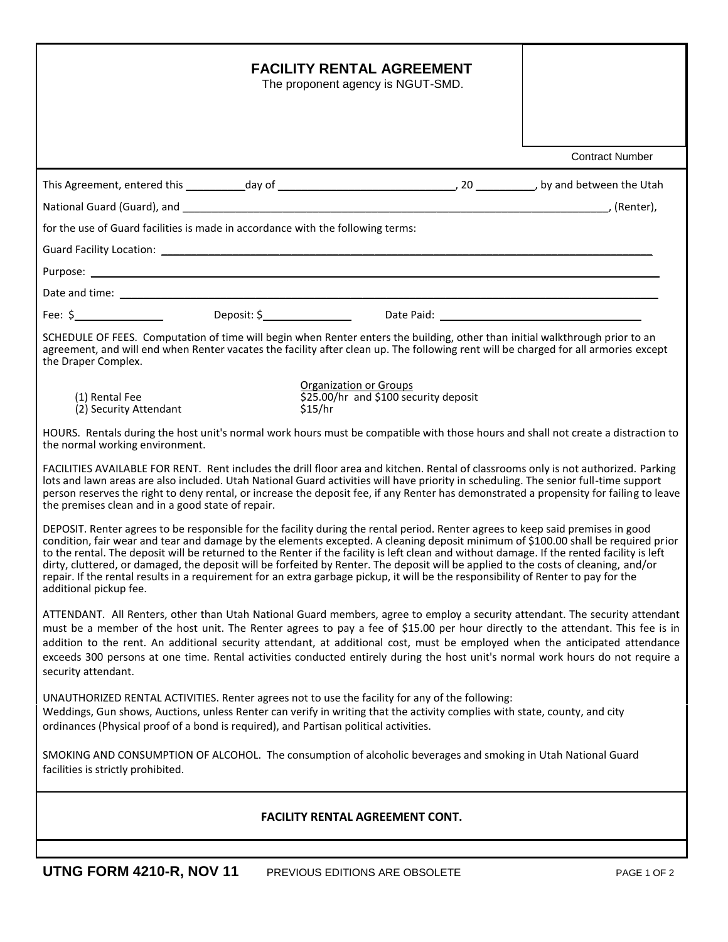| <b>FACILITY RENTAL AGREEMENT</b><br>The proponent agency is NGUT-SMD.                                                                                                                                                                                                                                                                                                                                                                                                                                                                                                                                                                                                                                                     |                        |
|---------------------------------------------------------------------------------------------------------------------------------------------------------------------------------------------------------------------------------------------------------------------------------------------------------------------------------------------------------------------------------------------------------------------------------------------------------------------------------------------------------------------------------------------------------------------------------------------------------------------------------------------------------------------------------------------------------------------------|------------------------|
|                                                                                                                                                                                                                                                                                                                                                                                                                                                                                                                                                                                                                                                                                                                           | <b>Contract Number</b> |
|                                                                                                                                                                                                                                                                                                                                                                                                                                                                                                                                                                                                                                                                                                                           |                        |
| for the use of Guard facilities is made in accordance with the following terms:                                                                                                                                                                                                                                                                                                                                                                                                                                                                                                                                                                                                                                           |                        |
|                                                                                                                                                                                                                                                                                                                                                                                                                                                                                                                                                                                                                                                                                                                           |                        |
|                                                                                                                                                                                                                                                                                                                                                                                                                                                                                                                                                                                                                                                                                                                           |                        |
|                                                                                                                                                                                                                                                                                                                                                                                                                                                                                                                                                                                                                                                                                                                           |                        |
| Fee: \$ Person Deposit: \$ Deposit: \$ Date Paid: Paid: \$                                                                                                                                                                                                                                                                                                                                                                                                                                                                                                                                                                                                                                                                |                        |
| SCHEDULE OF FEES. Computation of time will begin when Renter enters the building, other than initial walkthrough prior to an<br>agreement, and will end when Renter vacates the facility after clean up. The following rent will be charged for all armories except<br>the Draper Complex.                                                                                                                                                                                                                                                                                                                                                                                                                                |                        |
| <b>Organization or Groups</b><br>\$25.00/hr and \$100 security deposit<br>(1) Rental Fee<br>(2) Security Attendant<br>\$15/hr                                                                                                                                                                                                                                                                                                                                                                                                                                                                                                                                                                                             |                        |
| HOURS. Rentals during the host unit's normal work hours must be compatible with those hours and shall not create a distraction to<br>the normal working environment.                                                                                                                                                                                                                                                                                                                                                                                                                                                                                                                                                      |                        |
| FACILITIES AVAILABLE FOR RENT. Rent includes the drill floor area and kitchen. Rental of classrooms only is not authorized. Parking<br>lots and lawn areas are also included. Utah National Guard activities will have priority in scheduling. The senior full-time support<br>person reserves the right to deny rental, or increase the deposit fee, if any Renter has demonstrated a propensity for failing to leave<br>the premises clean and in a good state of repair.                                                                                                                                                                                                                                               |                        |
| DEPOSIT. Renter agrees to be responsible for the facility during the rental period. Renter agrees to keep said premises in good<br>condition, fair wear and tear and damage by the elements excepted. A cleaning deposit minimum of \$100.00 shall be required prior<br>to the rental. The deposit will be returned to the Renter if the facility is left clean and without damage. If the rented facility is left<br>dirty, cluttered, or damaged, the deposit will be forfeited by Renter. The deposit will be applied to the costs of cleaning, and/or<br>repair. If the rental results in a requirement for an extra garbage pickup, it will be the responsibility of Renter to pay for the<br>additional pickup fee. |                        |
| ATTENDANT. All Renters, other than Utah National Guard members, agree to employ a security attendant. The security attendant<br>must be a member of the host unit. The Renter agrees to pay a fee of \$15.00 per hour directly to the attendant. This fee is in<br>addition to the rent. An additional security attendant, at additional cost, must be employed when the anticipated attendance<br>exceeds 300 persons at one time. Rental activities conducted entirely during the host unit's normal work hours do not require a<br>security attendant.                                                                                                                                                                 |                        |
| UNAUTHORIZED RENTAL ACTIVITIES. Renter agrees not to use the facility for any of the following:<br>Weddings, Gun shows, Auctions, unless Renter can verify in writing that the activity complies with state, county, and city<br>ordinances (Physical proof of a bond is required), and Partisan political activities.                                                                                                                                                                                                                                                                                                                                                                                                    |                        |
| SMOKING AND CONSUMPTION OF ALCOHOL. The consumption of alcoholic beverages and smoking in Utah National Guard<br>facilities is strictly prohibited.                                                                                                                                                                                                                                                                                                                                                                                                                                                                                                                                                                       |                        |
| <b>FACILITY RENTAL AGREEMENT CONT.</b>                                                                                                                                                                                                                                                                                                                                                                                                                                                                                                                                                                                                                                                                                    |                        |